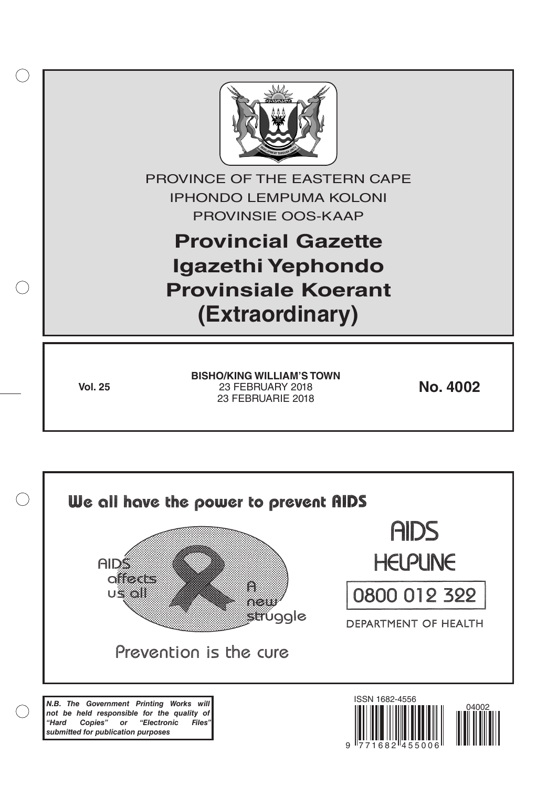

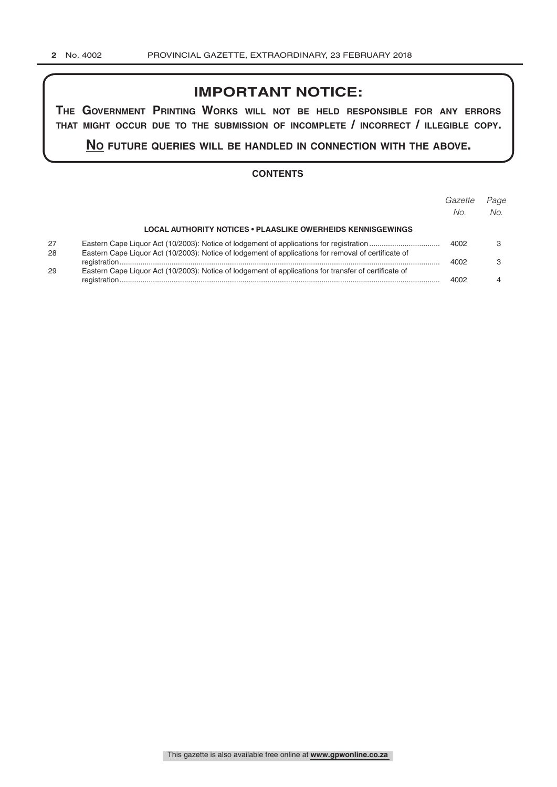## **IMPORTANT NOTICE:**

**The GovernmenT PrinTinG Works Will noT be held resPonsible for any errors ThaT miGhT occur due To The submission of incomPleTe / incorrecT / illeGible coPy.**

**no fuTure queries Will be handled in connecTion WiTh The above.**

## **CONTENTS**

|                                                                                                       | Gazette                                                                                              | Paae |
|-------------------------------------------------------------------------------------------------------|------------------------------------------------------------------------------------------------------|------|
|                                                                                                       |                                                                                                      | No.  |
| <b>LOCAL AUTHORITY NOTICES • PLAASLIKE OWERHEIDS KENNISGEWINGS</b>                                    |                                                                                                      |      |
|                                                                                                       | 4002                                                                                                 |      |
|                                                                                                       | 4002                                                                                                 |      |
| Eastern Cape Liquor Act (10/2003): Notice of lodgement of applications for transfer of certificate of | 4002                                                                                                 |      |
|                                                                                                       | Eastern Cape Liquor Act (10/2003): Notice of lodgement of applications for removal of certificate of | No   |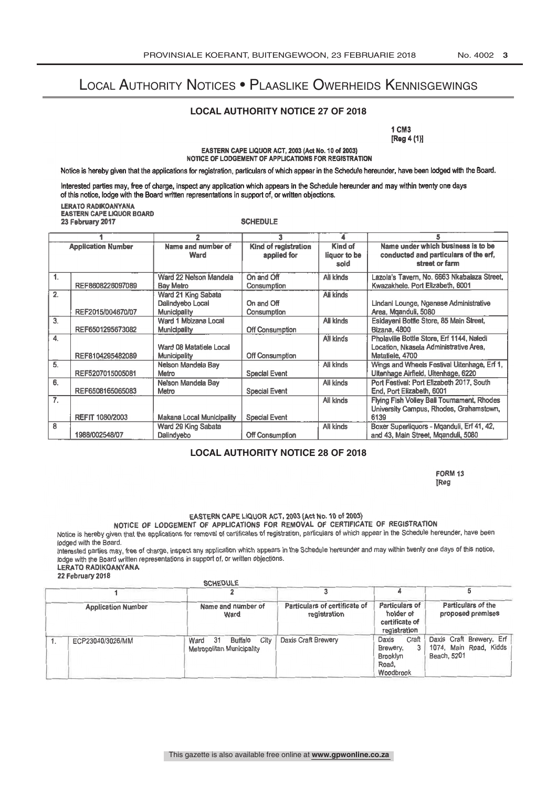# Local Authority Notices • Plaaslike Owerheids Kennisgewings

#### **LOCAL AUTHORITY NOTICE 27 OF 2018**

1 CM3 [Reg 4 (1)]

EASTERN CAPE LIQUOR ACT, 2003 (Act No. 10 of 2003)

NOTICE OF LODGEMENT OF APPLICATIONS FOR REGISTRATION

Notice is hereby given that the applications for registration, particulars of which appear in the Schedule hereunder, have been lodged with the Board.

Interested parties may, free of charge, inspect any application which appears in the Schedule hereunder and may within twenty one days of this notice, lodge with the Board written representations in support of, or written objections.

LERATO RADIKOANYANA EASTERN CAPE LIQUOR BOARD 23 February 2017 2017

|                  |                           |                                                                | 3                                   |                                 |                                                                                                        |
|------------------|---------------------------|----------------------------------------------------------------|-------------------------------------|---------------------------------|--------------------------------------------------------------------------------------------------------|
|                  | <b>Application Number</b> | Name and number of<br>Ward                                     | Kind of registration<br>applied for | Kind of<br>liquor to be<br>sold | Name under which business is to be<br>conducted and particulars of the erf,<br>street or farm          |
| $\mathbf{1}$ .   | REF8608226097089          | Ward 22 Nelson Mandela<br>Bay Metro                            | On and Off<br>Consumption           | Ali kinds                       | Lazola's Tavern, No. 6663 Nkabalaza Street,<br>Kwazakhele, Port Elizabeth, 6001                        |
| $\overline{2}$   | REF2015/004670/07         | Ward 21 King Sabata<br>Dalindvebo Local<br><b>Municipality</b> | On and Off<br>Consumption           | All kinds                       | Lindani Lounge, Nganase Administrative<br>Area, Mganduli, 5080                                         |
| 3.               | REF6501295673082          | Ward 1 Mbizana Local<br><b>Municipality</b>                    | Off Consumption                     | All kinds                       | Esidayeni Bottle Store, 85 Main Street,<br><b>Bizana, 4800</b>                                         |
| $\overline{4}$ . | REF8104295482089          | Ward 08 Matatiele Local<br><b>Municipality</b>                 | Off Consumption                     | All kinds                       | Pholaville Bottle Store, Erf 1144, Naledi<br>Location, Nkasela Administrative Area,<br>Matatiele, 4700 |
| 5.               | REF5207015005081          | Nelson Mandela Bay<br>Metro                                    | Special Event                       | All kinds                       | Wings and Wheels Festival Uitenhage, Erf 1,<br>Ultenhage Airfield, Ultenhage, 6220                     |
| 6.               | REF6508165065083          | Nelson Mandela Bay<br>Metro                                    | Special Event                       | All kinds                       | Port Festival: Port Elizabeth 2017, South<br>End, Port Elizabeth, 6001                                 |
| 7.               | REFIT 1080/2003           | Makana Local Municipality                                      | <b>Special Event</b>                | All kinds                       | Flying Fish Volley Ball Tournament, Rhodes<br>University Campus, Rhodes, Grahamstown,<br>6139          |
| 8                | 1988/002548/07            | Ward 29 King Sabata<br>Dalindyebo                              | Off Consumption                     | All kinds                       | Boxer Superliquors - Mganduli, Erf 41, 42,<br>and 43, Main Street, Mganduli, 5080                      |

## **LOCAL AUTHORITY NOTICE 28 OF 2018**

**FORM 13** [Reg

EASTERN CAPE LIQUOR ACT, 2003 (Act No. 10 of 2003)<br>NOTICE OF LODGEMENT OF APPLICATIONS FOR REMOVAL OF CERTIFICATE OF REGISTRATION

Notice is hereby given that the applications for removal of certificates of registration, particulars of which appear in the Schedule hereunder, have been lodged with the Board.

Interested parties may, free of charge, inspect any application which appears in the Schedule hereunder and may within twenty one days of this notice,<br>lodge with the Board written representations in support of, or written

22 February 2018

| <b>Application Number</b> |                  |                                                                   |                                               |                                                               | Particulars of the<br>proposed premises                           |  |
|---------------------------|------------------|-------------------------------------------------------------------|-----------------------------------------------|---------------------------------------------------------------|-------------------------------------------------------------------|--|
|                           |                  | Name and number of<br>Ward                                        | Particulars of certificate of<br>registration | Particulars of<br>holder of<br>certificate of<br>registration |                                                                   |  |
|                           | ECP23040/3026/MM | City<br><b>Buffalo</b><br>31<br>Ward<br>Metropolitan Municipality | Daxis Craft Brewery                           | Craft<br>Daxis<br>Brewery,<br>Brooklyn<br>Road,<br>Woodbrook  | Daxis Craft Brewery, Erf<br>1074, Main Road, Kidds<br>Beach, 5201 |  |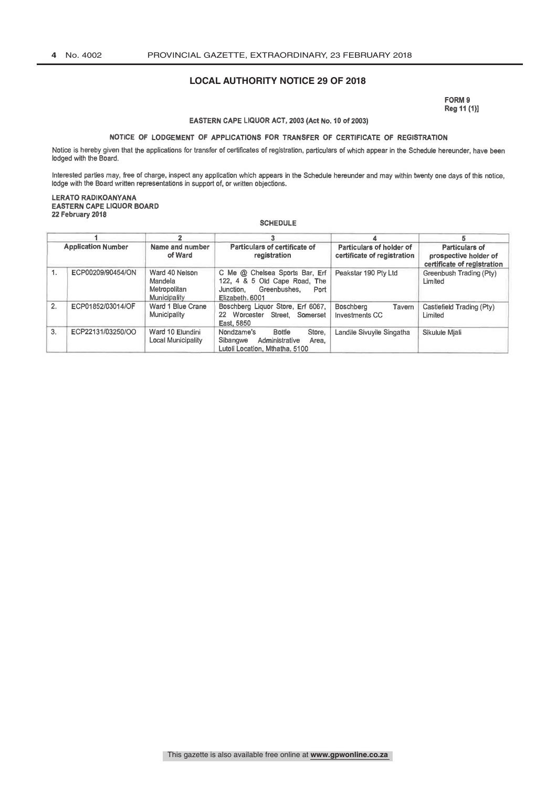### **LOCAL AUTHORITY NOTICE 29 OF 2018**

FORM 9 Reg 11 (1)]

#### EASTERN CAPE LIQUOR ACT, 2003 (Act No. 10 of 2003)

#### NOTICE OF LODGEMENT OF APPLICATIONS FOR TRANSFER OF CERTIFICATE OF REGISTRATION

Notice is hereby given that the applications for transfer of certificates of registration, particulars of which appear in the Schedule hereunder, have been lodged with the Board.

Interested parties may, free of charge, inspect any application which appears in the Schedule hereunder and may within twenty one days of this notice, lodge with the Board written representations in support of, or written objections.

#### LERATO RADIKOANYANA EASTERN CAPE LIQUOR BOARD 22 February 2018

**SCHEDULE** 

| <b>Application Number</b> |                   |                                                                             |                                                                                                                         |                                                         | 5                                                                             |
|---------------------------|-------------------|-----------------------------------------------------------------------------|-------------------------------------------------------------------------------------------------------------------------|---------------------------------------------------------|-------------------------------------------------------------------------------|
|                           |                   | Name and number<br>Particulars of certificate of<br>of Ward<br>registration |                                                                                                                         | Particulars of holder of<br>certificate of registration | <b>Particulars of</b><br>prospective holder of<br>certificate of registration |
|                           | ECP00209/90454/ON | Ward 40 Nelson<br>Mandela<br>Metropolitan<br>Municipality                   | C Me @ Chelsea Sports Bar, Erf<br>122, 4 & 5 Old Cape Road, The<br>Greenbushes.<br>Port<br>Junction.<br>Elizabeth, 6001 | Peakstar 190 Pty Ltd                                    | Greenbush Trading (Pty)<br>Limited                                            |
| 2.                        | ECP01852/03014/OF | Ward 1 Blue Crane<br>Municipality                                           | Boschberg Liquor Store, Erf 6067,<br>22 Worcester Street, Somerset<br>East, 5850                                        | Boschberg<br>Tavern<br>Investments CC                   | Castlefield Trading (Pty)<br>Limited                                          |
| 3.                        | ECP22131/03250/OO | Ward 10 Elundini<br>Local Municipality                                      | Store.<br><b>Bottle</b><br>Nondzame's<br>Sibangwe<br>Administrative<br>Area,<br>Lutoli Location, Mthatha, 5100          | Landile Sivuyile Singatha                               | Sikulule Mjali                                                                |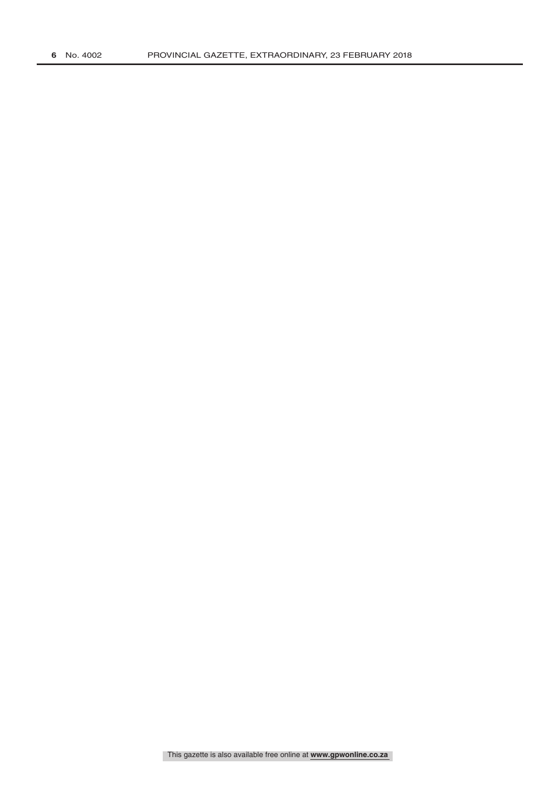This gazette is also available free online at **www.gpwonline.co.za**